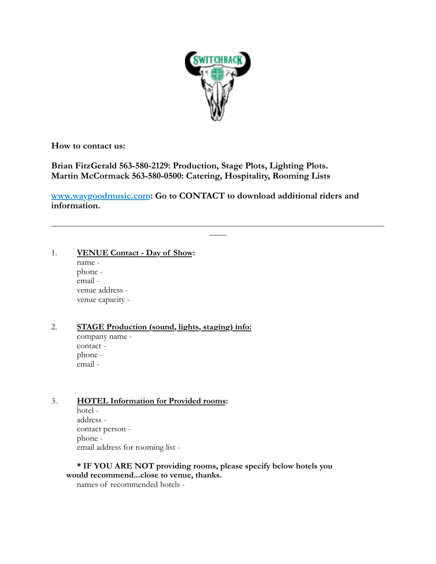

**How to contact us:**

**Brian FitzGerald 563-580-2129: Production, Stage Plots, Lighting Plots. Martin McCormack 563-580-0500: Catering, Hospitality, Rooming Lists**

**[www.waygoodmusic.com](%22http://): Go to CONTACT to download additional riders and information.** 

 $\frac{1}{\sqrt{2}}$  , and the contract of the contract of the contract of the contract of the contract of the contract of the contract of the contract of the contract of the contract of the contract of the contract of the contra ——

### 1. **VENUE Contact - Day of Show:**

name phone email venue address venue capacity -

# 2. **STAGE Production (sound, lights, staging) info:**

company name contact phone email -

### 3. **HOTEL Information for Provided rooms:**

hotel address contact person phone email address for rooming list -

**\* IF YOU ARE NOT providing rooms, please specify below hotels you would recommend...close to venue, thanks.**

names of recommended hotels -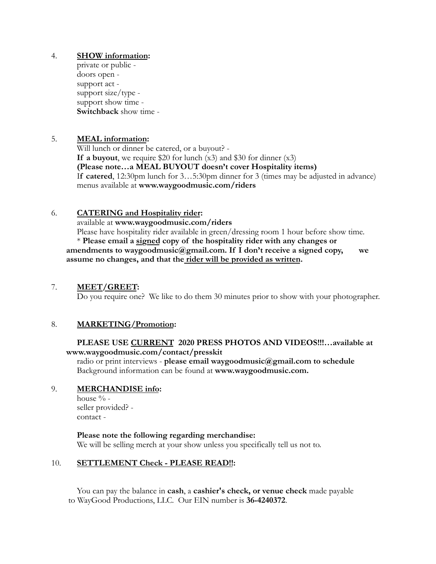### 4. **SHOW information:**

private or public doors open support act support size/type support show time - **Switchback** show time -

### 5. **MEAL information:**

Will lunch or dinner be catered, or a buyout? - **If a buyout**, we require \$20 for lunch  $(x3)$  and \$30 for dinner  $(x3)$ **(Please note…a MEAL BUYOUT doesn't cover Hospitality items)** I**f catered**, 12:30pm lunch for 3…5:30pm dinner for 3 (times may be adjusted in advance) menus available at **www.waygoodmusic.com/riders**

### 6. **CATERING and Hospitality rider:**

available at **www.waygoodmusic.com/riders**

Please have hospitality rider available in green/dressing room 1 hour before show time. \* **Please email a signed copy of the hospitality rider with any changes or amendments to waygoodmusic@gmail.com. If I don't receive a signed copy, we assume no changes, and that the rider will be provided as written.**

#### 7. **MEET/GREET:**

Do you require one? We like to do them 30 minutes prior to show with your photographer.

### 8. **MARKETING/Promotion:**

### **PLEASE USE CURRENT 2020 PRESS PHOTOS AND VIDEOS!!!…available at www.waygoodmusic.com/contact/presskit**

radio or print interviews - **please email waygoodmusic@gmail.com to schedule** Background information can be found at **www.waygoodmusic.com.**

### 9. **MERCHANDISE info:**

house % seller provided? contact -

**Please note the following regarding merchandise:**

We will be selling merch at your show unless you specifically tell us not to.

### 10. **SETTLEMENT Check - PLEASE READ!!:**

You can pay the balance in **cash**, a **cashier's check, or venue check** made payable to WayGood Productions, LLC. Our EIN number is **36-4240372**.